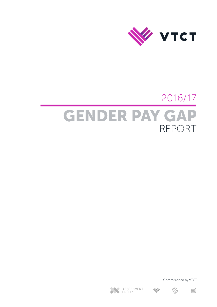

# 2016/17 GENDER PAY GAP REPORT

Commisioned by VTCT





 $\ll$ 



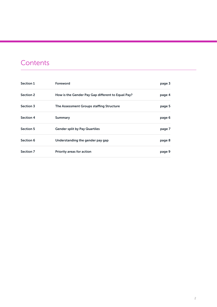# **Contents**

| Section 1        | Foreword                                          | page 3 |  |
|------------------|---------------------------------------------------|--------|--|
| <b>Section 2</b> | How is the Gender Pay Gap different to Equal Pay? | page 4 |  |
| Section 3        | The Assessment Groups staffing Structure          | page 5 |  |
| Section 4        | Summary                                           | page 6 |  |
| Section 5        | <b>Gender split by Pay Quartiles</b>              | page 7 |  |
| Section 6        | Understanding the gender pay gap                  | page 8 |  |
| Section 7        | <b>Priority areas for action</b>                  | page 9 |  |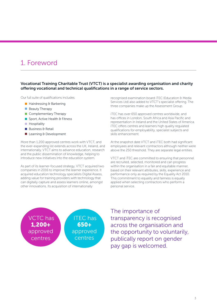# <span id="page-2-0"></span>1. Foreword

#### Vocational Training Charitable Trust (VTCT) is a specialist awarding organisation and charity offering vocational and technical qualifications in a range of service sectors.

Our full suite of qualifications includes:

- $\blacksquare$  Hairdressing & Barbering
- **Beauty Therapy**
- Complementary Therapy
- Sport, Active Health & Fitness
- **Hospitality**
- $\blacksquare$  Business & Retail
- Learning & Development

More than 1,200 approved centres work with VTCT, and the ever-expanding list extends across the UK, Ireland, and internationally. VTCT aims to advance education, research and the public dissemination of knowledge, helping to introduce new initiatives into the education system.

As part of its learner-focused strategy, VTCT acquired two companies in 2016 to improve the learner experience. It acquired education technology specialists Digital Assess, adding value for training providers with technology that can digitally capture and assess learners online, amongst other innovations. Its acquisition of internationally

recognised examination board iTEC (Education & Media Services Ltd) also added to VTCT's specialist offering. The three companies make up the Assessment Group.

iTEC has over 650 approved centres worldwide, and has offices in London, South Africa and Asia Pacific and representation in Ireland and the United States of America. iTEC offers centres and learners high quality regulated qualifications for employability, specialist subjects and skills enhancement.

At the snapshot date VTCT and iTEC both had significant employees and relevant contractors although neither were above the 250 threshold. They are separate legal entities.

VTCT and iTEC are committed to ensuring that personnel are recruited, selected, monitored and can progress within the organisation in a fair and equitable manner, based on their relevant attributes, skills, experience and performance only as required by the Equality Act 2010. This commitment to equality and fairness is equally applied when selecting contractors who perform a personal service.



The importance of transparency is recognised across the organisation and the opportunity to voluntarily, publically report on gender pay gap is welcomed.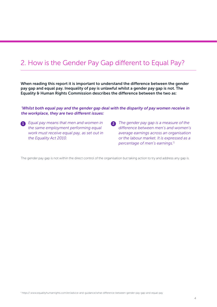# <span id="page-3-0"></span>2. How is the Gender Pay Gap different to Equal Pay?

When reading this report it is important to understand the difference between the gender pay gap and equal pay. Inequality of pay is unlawful whilst a gender pay gap is not. The Equality & Human Rights Commission describes the difference between the two as:

#### *'Whilst both equal pay and the gender gap deal with the disparity of pay women receive in the workplace, they are two different issues:*

- **1** Equal pay means that men and women in **2** The gender pay gap is a measure of the *the same employment performing equal work must receive equal pay, as set out in the Equality Act 2010.*
	- *difference between men's and women's average earnings across an organisation or the labour market. It is expressed as a percentage of men's earnings.'1*

The gender pay gap is not within the direct control of the organisation but taking action to try and address any gap is.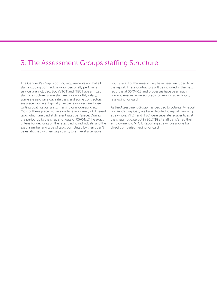### <span id="page-4-0"></span>3. The Assessment Groups staffing Structure

The Gender Pay Gap reporting requirements are that all staff including contractors who 'personally perform a service' are included. Both VTCT and iTEC have a mixed staffing structure, some staff are on a monthly salary, some are paid on a day rate basis and some contractors are piece workers. Typically the piece workers are those writing qualification units, marking or moderating etc. Most of these piece workers undertake a variety of different tasks which are paid at different rates per 'piece'. During the period up to the snap shot date of 05/04/17 the exact criteria for deciding on the rates paid to individuals, and the exact number and type of tasks completed by them, can't be established with enough clarity to arrive at a sensible

hourly rate. For this reason they have been excluded from the report. These contractors will be included in the next report as at 05/04/18 and processes have been put in place to ensure more accuracy for arriving at an hourly rate going forward.

As the Assessment Group has decided to voluntarily report on Gender Pay Gap, we have decided to report the group as a whole. VTCT and iTEC were separate legal entities at the snapshot date but in 2017/18 all staff transferred their employment to VTCT. Reporting as a whole allows for direct comparison going forward.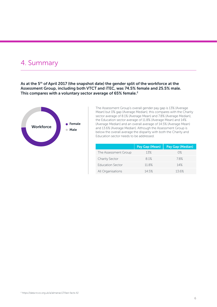### <span id="page-5-0"></span>4. Summary

As at the 5<sup>th</sup> of April 2017 (the snapshot date) the gender split of the workforce at the Assessment Group, including both VTCT and iTEC, was 74.5% female and 25.5% male. This compares with a voluntary sector average of 65% female.<sup>2</sup>



The Assessment Group's overall gender pay gap is 13% (Average Mean) but 0% gap (Average Median), this compares with the Charity sector average of 8.1% (Average Mean) and 7.8% (Average Median), the Education sector average of 11.8% (Average Mean) and 14% (Average Median) and an overall average of 14.5% (Average Mean) and 13.6% (Average Median). Although the Assessment Group is below the overall average the disparity with both the Charity and Education sector needs to be addressed.

|                         | Pay Gap (Mean) | Pay Gap (Median) |
|-------------------------|----------------|------------------|
| The Assessment Group    | 13%            | $0\%$            |
| <b>Charity Sector</b>   | 81%            | 78%              |
| <b>Education Sector</b> | 118%           | 14%              |
| All Organisations       | 14.5%          | 136%             |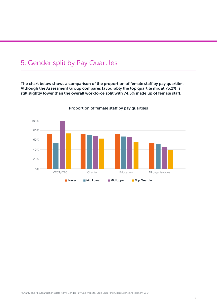### <span id="page-6-0"></span>5. Gender split by Pay Quartiles

The chart below shows a comparison of the proportion of female staff by pay quartile<sup>3</sup>. Although the Assessment Group compares favourably the top quartile mix at 73.2% is still slightly lower than the overall workforce split with 74.5% made up of female staff.



Proportion of female staff by pay quartiles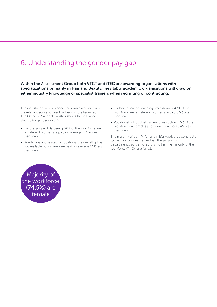## <span id="page-7-0"></span>6. Understanding the gender pay gap

Within the Assessment Group both VTCT and iTEC are awarding organisations with specializations primarily in Hair and Beauty. Inevitably academic organisations will draw on either industry knowledge or specialist trainers when recruiting or contracting.

The industry has a prominence of female workers with the relevant education sectors being more balanced. The Office of National Statistics shows the following statistic for gender in 2016:

- Hairdressing and Barbering: 90% of the workforce are female and women are paid on average 1.1% more than men.
- Beauticians and related occupations: the overall split is not available but women are paid on average 1.1% less than men.
- Further Education teaching professionals: 47% of the workforce are female and women are paid 0.5% less than man.
- Vocational & Industrial trainers & instructors: 55% of the workforce are females and women are paid 5.4% less than men.

The majority of both VTCT and iTECs workforce contribute to the core business rather than the supporting department's so it is not surprising that the majority of the workforce (74.5%) are female.

Majority of the workforce (74.5%) are female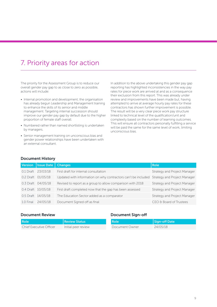# <span id="page-8-0"></span>7. Priority areas for action

The priority for the Assessment Group is to reduce our overall gender pay gap to as close to zero as possible, actions will include:

- Internal promotion and development; the organisation has already begun Leadership and Management training to enhance the skills of its senior and middle management. Targeting internal succession should improve our gender pay gap by default due to the higher proportion of female staff overall.
- Numbered rather than named shortlisting is undertaken by managers.
- Senior management training on unconscious bias and gender power relationships have been undertaken with an external consultant.

In addition to the above undertaking this gender pay gap reporting has highlighted inconsistencies in the way pay rates for piece work are arrived at and as a consequence their exclusion from this report. This was already under review and improvements have been made but, having attempted to arrive at average hourly pay rates for these contractors has shown further improvement is possible. The result will be a very clear piece work pay structure linked to technical level of the qualification/unit and complexity based on the number of learning outcomes. This will ensure all contractors personally fulfilling a service will be paid the same for the same level of work, limiting unconscious bias.

#### Document History

| Version   Issue Date | <b>Changes</b>                                                                             | <b>Role</b>                  |
|----------------------|--------------------------------------------------------------------------------------------|------------------------------|
| 0.1 Draft 23/03/18   | First draft for internal consultation                                                      | Strategy and Project Manager |
| 0.2 Draft 01/05/18   | Updated with information on why contractors can't be included Strategy and Project Manager |                              |
| 0.3 Draft 04/05/18   | Revised to report as a group to allow comparison with 2018                                 | Strategy and Project Manager |
| 0.4 Draft 10/05/18   | First draft completed now that the gap has been assessed                                   | Strategy and Project Manager |
| 0.5 Draft 14/05/18   | The Education Sector added as a comparator                                                 | Strategy and Project Manager |
| 1.0 Final 24/05/18   | Document Signed off as final                                                               | CEO & Board of Trustees      |

#### Document Review

### Document Sign-off

| Role                    | l Review Status     | Role           | Sign-off Date |
|-------------------------|---------------------|----------------|---------------|
| Chief Executive Officer | Initial peer review | Document Owner | 24/05/18      |